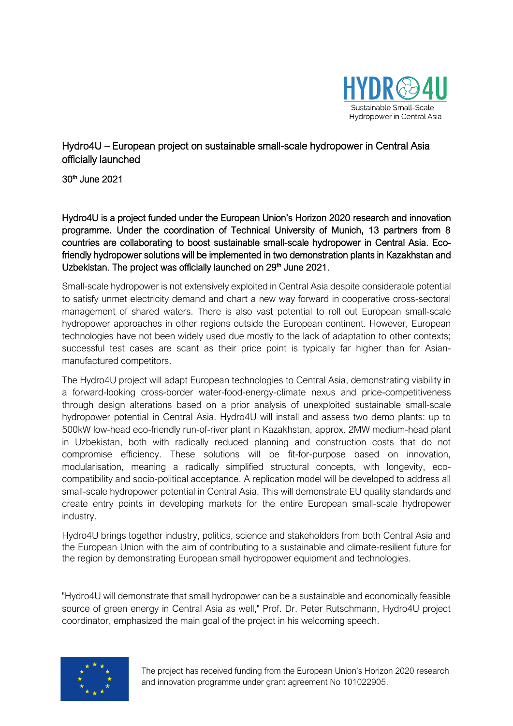

Hydro4U – European project on sustainable small-scale hydropower in Central Asia officially launched

30th June 2021

Hydro4U is a project funded under the European Union's Horizon 2020 research and innovation programme. Under the coordination of Technical University of Munich, 13 partners from 8 countries are collaborating to boost sustainable small-scale hydropower in Central Asia. Ecofriendly hydropower solutions will be implemented in two demonstration plants in Kazakhstan and Uzbekistan. The project was officially launched on 29<sup>th</sup> June 2021.

Small-scale hydropower is not extensively exploited in Central Asia despite considerable potential to satisfy unmet electricity demand and chart a new way forward in cooperative cross-sectoral management of shared waters. There is also vast potential to roll out European small-scale hydropower approaches in other regions outside the European continent. However, European technologies have not been widely used due mostly to the lack of adaptation to other contexts; successful test cases are scant as their price point is typically far higher than for Asianmanufactured competitors.

The Hydro4U project will adapt European technologies to Central Asia, demonstrating viability in a forward-looking cross-border water-food-energy-climate nexus and price-competitiveness through design alterations based on a prior analysis of unexploited sustainable small-scale hydropower potential in Central Asia. Hydro4U will install and assess two demo plants: up to 500kW low-head eco-friendly run-of-river plant in Kazakhstan, approx. 2MW medium-head plant in Uzbekistan, both with radically reduced planning and construction costs that do not compromise efficiency. These solutions will be fit-for-purpose based on innovation, modularisation, meaning a radically simplified structural concepts, with longevity, ecocompatibility and socio-political acceptance. A replication model will be developed to address all small-scale hydropower potential in Central Asia. This will demonstrate EU quality standards and create entry points in developing markets for the entire European small-scale hydropower industry.

Hydro4U brings together industry, politics, science and stakeholders from both Central Asia and the European Union with the aim of contributing to a sustainable and climate-resilient future for the region by demonstrating European small hydropower equipment and technologies.

"Hydro4U will demonstrate that small hydropower can be a sustainable and economically feasible source of green energy in Central Asia as well," Prof. Dr. Peter Rutschmann, Hydro4U project coordinator, emphasized the main goal of the project in his welcoming speech.



The project has received funding from the European Union's Horizon 2020 research and innovation programme under grant agreement No 101022905.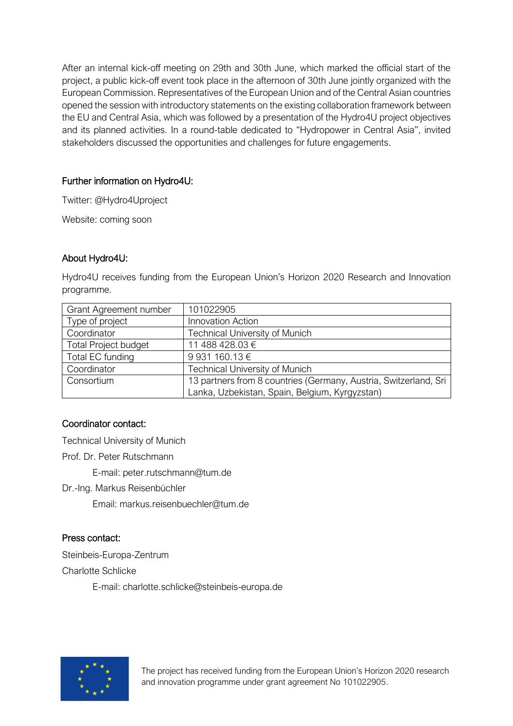After an internal kick-off meeting on 29th and 30th June, which marked the official start of the project, a public kick-off event took place in the afternoon of 30th June jointly organized with the European Commission. Representatives of the European Union and of the Central Asian countries opened the session with introductory statements on the existing collaboration framework between the EU and Central Asia, which was followed by a presentation of the Hydro4U project objectives and its planned activities. In a round-table dedicated to "Hydropower in Central Asia", invited stakeholders discussed the opportunities and challenges for future engagements.

### Further information on Hydro4U:

Twitter: @Hydro4Uproject

Website: coming soon

#### About Hydro4U:

Hydro4U receives funding from the European Union's Horizon 2020 Research and Innovation programme.

| Grant Agreement number      | 101022905                                                        |
|-----------------------------|------------------------------------------------------------------|
| Type of project             | <b>Innovation Action</b>                                         |
| Coordinator                 | <b>Technical University of Munich</b>                            |
| <b>Total Project budget</b> | 11 488 428.03 €                                                  |
| Total EC funding            | 9 931 160.13 €                                                   |
| Coordinator                 | <b>Technical University of Munich</b>                            |
| Consortium                  | 13 partners from 8 countries (Germany, Austria, Switzerland, Sri |
|                             | Lanka, Uzbekistan, Spain, Belgium, Kyrgyzstan)                   |

#### Coordinator contact:

Technical University of Munich

Prof. Dr. Peter Rutschmann

E-mail: peter.rutschmann@tum.de

Dr.-Ing. Markus Reisenbüchler

Email: markus.reisenbuechler@tum.de

## Press contact:

Steinbeis-Europa-Zentrum Charlotte Schlicke

E-mail: charlotte.schlicke@steinbeis-europa.de



The project has received funding from the European Union's Horizon 2020 research and innovation programme under grant agreement No 101022905.